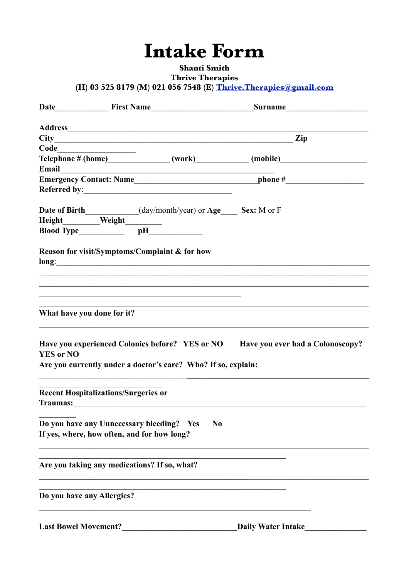## **Intake Form**

**Shanti Smith** 

**Thrive Therapies** 

(H) 03 525 8179 (M) 021 056 7548 (E) Thrive. Therapies@gmail.com

| Email                                                          | <u> 1989 - Johann Barn, amerikan besteman besteman besteman besteman besteman besteman besteman besteman bestema</u> |                                                                                  |
|----------------------------------------------------------------|----------------------------------------------------------------------------------------------------------------------|----------------------------------------------------------------------------------|
|                                                                |                                                                                                                      |                                                                                  |
|                                                                |                                                                                                                      |                                                                                  |
|                                                                | Date of Birth__________(day/month/year) or Age____ Sex: M or F                                                       |                                                                                  |
|                                                                |                                                                                                                      |                                                                                  |
|                                                                |                                                                                                                      |                                                                                  |
|                                                                | Reason for visit/Symptoms/Complaint & for how                                                                        |                                                                                  |
| What have you done for it?<br><b>YES or NO</b>                 |                                                                                                                      | Have you experienced Colonics before? YES or NO Have you ever had a Colonoscopy? |
|                                                                | Are you currently under a doctor's care? Who? If so, explain:                                                        |                                                                                  |
| <b>Recent Hospitalizations/Surgeries or</b><br><b>Traumas:</b> |                                                                                                                      |                                                                                  |
|                                                                | Do you have any Unnecessary bleeding? Yes<br>If yes, where, how often, and for how long?                             | N <sub>0</sub>                                                                   |
|                                                                | Are you taking any medications? If so, what?                                                                         |                                                                                  |
| Do you have any Allergies?                                     |                                                                                                                      |                                                                                  |
| <b>Last Bowel Movement?</b>                                    |                                                                                                                      | <b>Daily Water Intake</b>                                                        |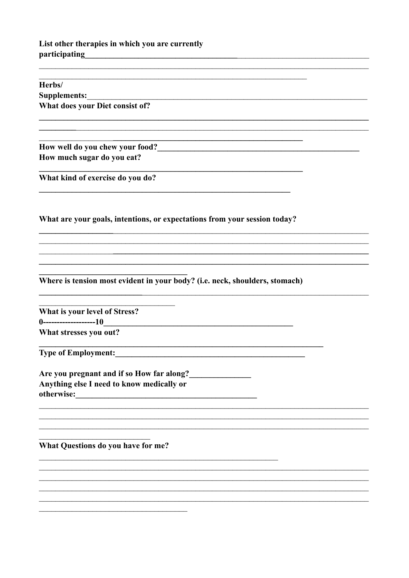## List other therapies in which you are currently participating<br>
<u>example and the set of the set of the set of the set of the set of the set of the set of the set of the set of the set of the set of the set of the set of the set of the set of the set of the set of the set</u>

 $\overline{\phantom{a}}$ 

| Herbs/                                                                                                                                                                                                                                |  |
|---------------------------------------------------------------------------------------------------------------------------------------------------------------------------------------------------------------------------------------|--|
| <b>Supplements:</b>                                                                                                                                                                                                                   |  |
| What does your Diet consist of?                                                                                                                                                                                                       |  |
| How well do you chew your food?<br><u>Letting</u> the summary service of the service of the service of the service of the service of the service of the service of the service of the service of the service of the service of the se |  |
| How much sugar do you eat?                                                                                                                                                                                                            |  |
| What kind of exercise do you do?                                                                                                                                                                                                      |  |
| What are your goals, intentions, or expectations from your session today?                                                                                                                                                             |  |
|                                                                                                                                                                                                                                       |  |
| Where is tension most evident in your body? (i.e. neck, shoulders, stomach)                                                                                                                                                           |  |
| What is your level of Stress?<br>$0$ -------------------10                                                                                                                                                                            |  |
| What stresses you out?                                                                                                                                                                                                                |  |
| <b>Type of Employment:</b>                                                                                                                                                                                                            |  |
| Are you pregnant and if so How far along?<br>Anything else I need to know medically or                                                                                                                                                |  |
| otherwise:                                                                                                                                                                                                                            |  |
|                                                                                                                                                                                                                                       |  |
| What Questions do you have for me?                                                                                                                                                                                                    |  |
|                                                                                                                                                                                                                                       |  |

<u> 1989 - Johann Stoff, amerikansk politiker (d. 1989)</u>